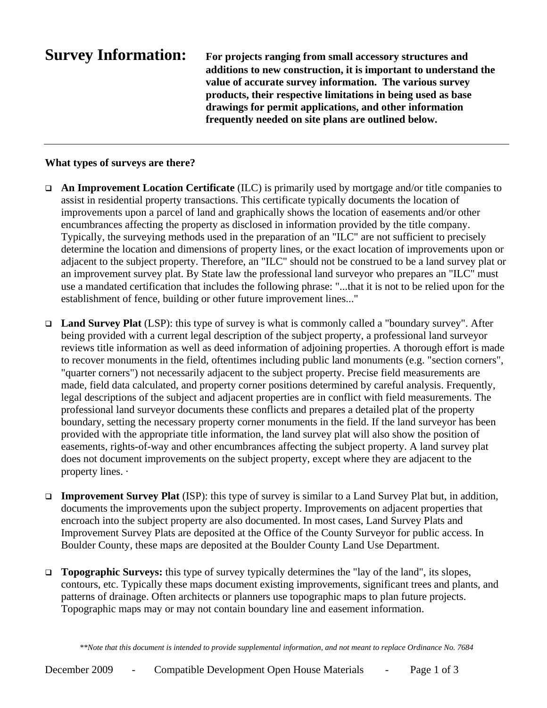**Survey Information: For projects ranging from small accessory structures and additions to new construction, it is important to understand the value of accurate survey information. The various survey products, their respective limitations in being used as base drawings for permit applications, and other information frequently needed on site plans are outlined below.**

# **What types of surveys are there?**

- **An Improvement Location Certificate** (ILC) is primarily used by mortgage and/or title companies to assist in residential property transactions. This certificate typically documents the location of improvements upon a parcel of land and graphically shows the location of easements and/or other encumbrances affecting the property as disclosed in information provided by the title company. Typically, the surveying methods used in the preparation of an "ILC" are not sufficient to precisely determine the location and dimensions of property lines, or the exact location of improvements upon or adjacent to the subject property. Therefore, an "ILC" should not be construed to be a land survey plat or an improvement survey plat. By State law the professional land surveyor who prepares an "ILC" must use a mandated certification that includes the following phrase: "...that it is not to be relied upon for the establishment of fence, building or other future improvement lines..."
- **Land Survey Plat** (LSP): this type of survey is what is commonly called a "boundary survey". After being provided with a current legal description of the subject property, a professional land surveyor reviews title information as well as deed information of adjoining properties. A thorough effort is made to recover monuments in the field, oftentimes including public land monuments (e.g. "section corners", "quarter corners") not necessarily adjacent to the subject property. Precise field measurements are made, field data calculated, and property corner positions determined by careful analysis. Frequently, legal descriptions of the subject and adjacent properties are in conflict with field measurements. The professional land surveyor documents these conflicts and prepares a detailed plat of the property boundary, setting the necessary property corner monuments in the field. If the land surveyor has been provided with the appropriate title information, the land survey plat will also show the position of easements, rights-of-way and other encumbrances affecting the subject property. A land survey plat does not document improvements on the subject property, except where they are adjacent to the property lines. ·
- **Improvement Survey Plat** (ISP): this type of survey is similar to a Land Survey Plat but, in addition, documents the improvements upon the subject property. Improvements on adjacent properties that encroach into the subject property are also documented. In most cases, Land Survey Plats and Improvement Survey Plats are deposited at the Office of the County Surveyor for public access. In Boulder County, these maps are deposited at the Boulder County Land Use Department.
- □ **Topographic Surveys:** this type of survey typically determines the "lay of the land", its slopes, contours, etc. Typically these maps document existing improvements, significant trees and plants, and patterns of drainage. Often architects or planners use topographic maps to plan future projects. Topographic maps may or may not contain boundary line and easement information.

*\*\*Note that this document is intended to provide supplemental information, and not meant to replace Ordinance No. 7684*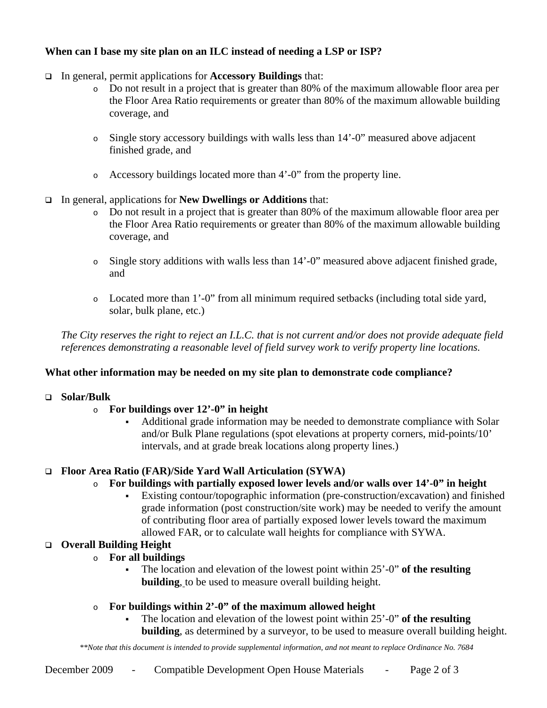# **When can I base my site plan on an ILC instead of needing a LSP or ISP?**

- In general, permit applications for **Accessory Buildings** that:
	- o Do not result in a project that is greater than 80% of the maximum allowable floor area per the Floor Area Ratio requirements or greater than 80% of the maximum allowable building coverage, and
	- o Single story accessory buildings with walls less than 14'-0" measured above adjacent finished grade, and
	- o Accessory buildings located more than 4'-0" from the property line.
- In general, applications for **New Dwellings or Additions** that:
	- o Do not result in a project that is greater than 80% of the maximum allowable floor area per the Floor Area Ratio requirements or greater than 80% of the maximum allowable building coverage, and
	- o Single story additions with walls less than 14'-0" measured above adjacent finished grade, and
	- o Located more than 1'-0" from all minimum required setbacks (including total side yard, solar, bulk plane, etc.)

*The City reserves the right to reject an I.L.C. that is not current and/or does not provide adequate field references demonstrating a reasonable level of field survey work to verify property line locations.* 

# **What other information may be needed on my site plan to demonstrate code compliance?**

## **Solar/Bulk**

# o **For buildings over 12'-0" in height**

 Additional grade information may be needed to demonstrate compliance with Solar and/or Bulk Plane regulations (spot elevations at property corners, mid-points/10' intervals, and at grade break locations along property lines.)

# **Floor Area Ratio (FAR)/Side Yard Wall Articulation (SYWA)**

# o **For buildings with partially exposed lower levels and/or walls over 14'-0" in height**

 Existing contour/topographic information (pre-construction/excavation) and finished grade information (post construction/site work) may be needed to verify the amount of contributing floor area of partially exposed lower levels toward the maximum allowed FAR, or to calculate wall heights for compliance with SYWA.

# **Overall Building Height**

- o **For all buildings** 
	- The location and elevation of the lowest point within 25'-0" **of the resulting building**, to be used to measure overall building height.
- o **For buildings within 2'-0" of the maximum allowed height** 
	- The location and elevation of the lowest point within 25'-0" **of the resulting building**, as determined by a surveyor, to be used to measure overall building height.

*\*\*Note that this document is intended to provide supplemental information, and not meant to replace Ordinance No. 7684*